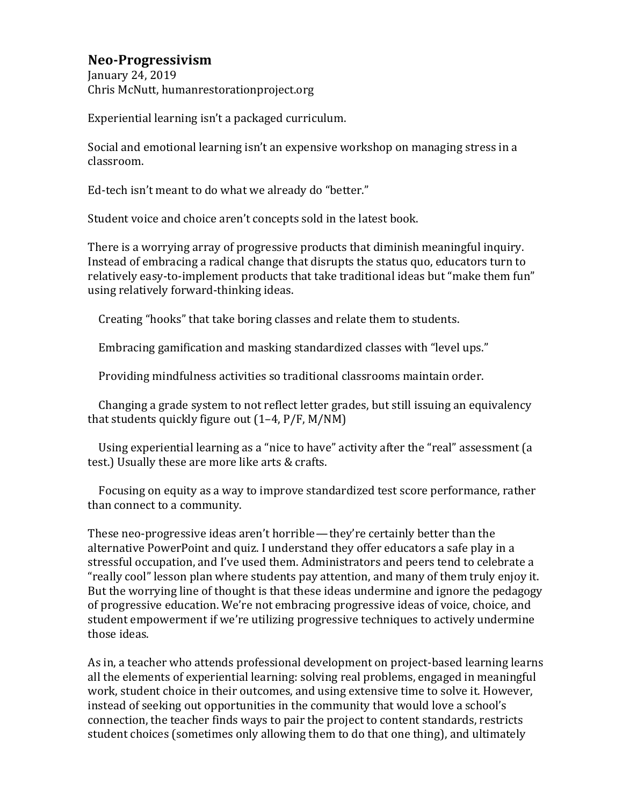## **Neo-Progressivism**

January 24, 2019 Chris McNutt, humanrestorationproject.org

Experiential learning isn't a packaged curriculum.

Social and emotional learning isn't an expensive workshop on managing stress in a classroom.

Ed-tech isn't meant to do what we already do "better."

Student voice and choice aren't concepts sold in the latest book.

There is a worrying array of progressive products that diminish meaningful inquiry. Instead of embracing a radical change that disrupts the status quo, educators turn to relatively easy-to-implement products that take traditional ideas but "make them fun" using relatively forward-thinking ideas.

Creating "hooks" that take boring classes and relate them to students.

Embracing gamification and masking standardized classes with "level ups."

Providing mindfulness activities so traditional classrooms maintain order.

Changing a grade system to not reflect letter grades, but still issuing an equivalency that students quickly figure out  $(1-4, P/F, M/NM)$ 

Using experiential learning as a "nice to have" activity after the "real" assessment (a test.) Usually these are more like arts & crafts.

Focusing on equity as a way to improve standardized test score performance, rather than connect to a community.

These neo-progressive ideas aren't horrible—they're certainly better than the alternative PowerPoint and quiz. I understand they offer educators a safe play in a stressful occupation, and I've used them. Administrators and peers tend to celebrate a "really cool" lesson plan where students pay attention, and many of them truly enjoy it. But the worrying line of thought is that these ideas undermine and ignore the pedagogy of progressive education. We're not embracing progressive ideas of voice, choice, and student empowerment if we're utilizing progressive techniques to actively undermine those ideas.

As in, a teacher who attends professional development on project-based learning learns all the elements of experiential learning: solving real problems, engaged in meaningful work, student choice in their outcomes, and using extensive time to solve it. However, instead of seeking out opportunities in the community that would love a school's connection, the teacher finds ways to pair the project to content standards, restricts student choices (sometimes only allowing them to do that one thing), and ultimately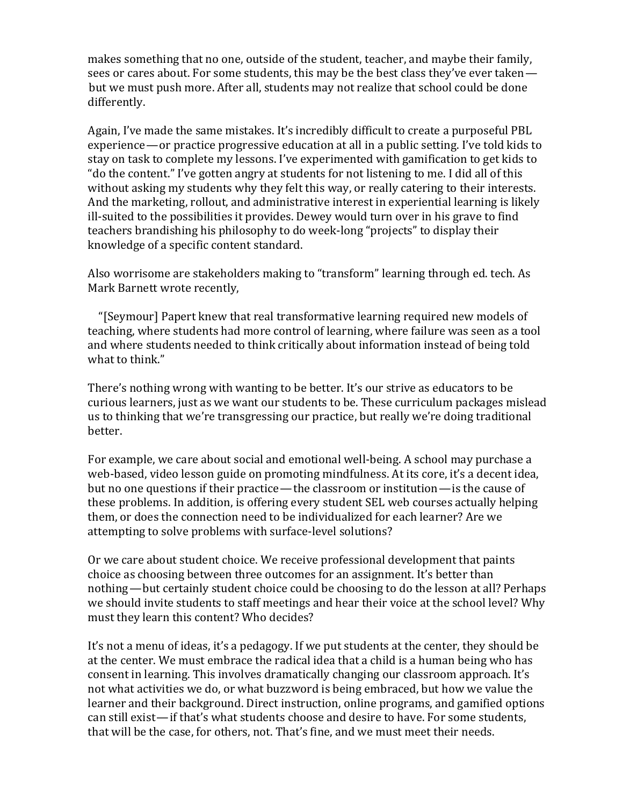makes something that no one, outside of the student, teacher, and maybe their family, sees or cares about. For some students, this may be the best class they've ever taken but we must push more. After all, students may not realize that school could be done differently.

Again, I've made the same mistakes. It's incredibly difficult to create a purposeful PBL experience — or practice progressive education at all in a public setting. I've told kids to stay on task to complete my lessons. I've experimented with gamification to get kids to " do the content." I've gotten angry at students for not listening to me. I did all of this without asking my students why they felt this way, or really catering to their interests. And the marketing, rollout, and administrative interest in experiential learning is likely ill-suited to the possibilities it provides. Dewey would turn over in his grave to find teachers brandishing his philosophy to do week-long "projects" to display their knowledge of a specific content standard.

Also worrisome are stakeholders making to "transform" learning through ed. tech. As Mark Barnett wrote recently,

"[Seymour] Papert knew that real transformative learning required new models of teaching, where students had more control of learning, where failure was seen as a tool and where students needed to think critically about information instead of being told what to think."

There's nothing wrong with wanting to be better. It's our strive as educators to be curious learners, just as we want our students to be. These curriculum packages mislead us to thinking that we're transgressing our practice, but really we're doing traditional better.

For example, we care about social and emotional well-being. A school may purchase a web-based, video lesson guide on promoting mindfulness. At its core, it's a decent idea, but no one questions if their practice—the classroom or institution—is the cause of these problems. In addition, is offering every student SEL web courses actually helping them, or does the connection need to be individualized for each learner? Are we attempting to solve problems with surface-level solutions?

Or we care about student choice. We receive professional development that paints choice as choosing between three outcomes for an assignment. It's better than nothing—but certainly student choice could be choosing to do the lesson at all? Perhaps we should invite students to staff meetings and hear their voice at the school level? Why must they learn this content? Who decides?

It's not a menu of ideas, it's a pedagogy. If we put students at the center, they should be at the center. We must embrace the radical idea that a child is a human being who has consent in learning. This involves dramatically changing our classroom approach. It's not what activities we do, or what buzzword is being embraced, but how we value the learner and their background. Direct instruction, online programs, and gamified options can still exist—if that's what students choose and desire to have. For some students, that will be the case, for others, not. That's fine, and we must meet their needs.